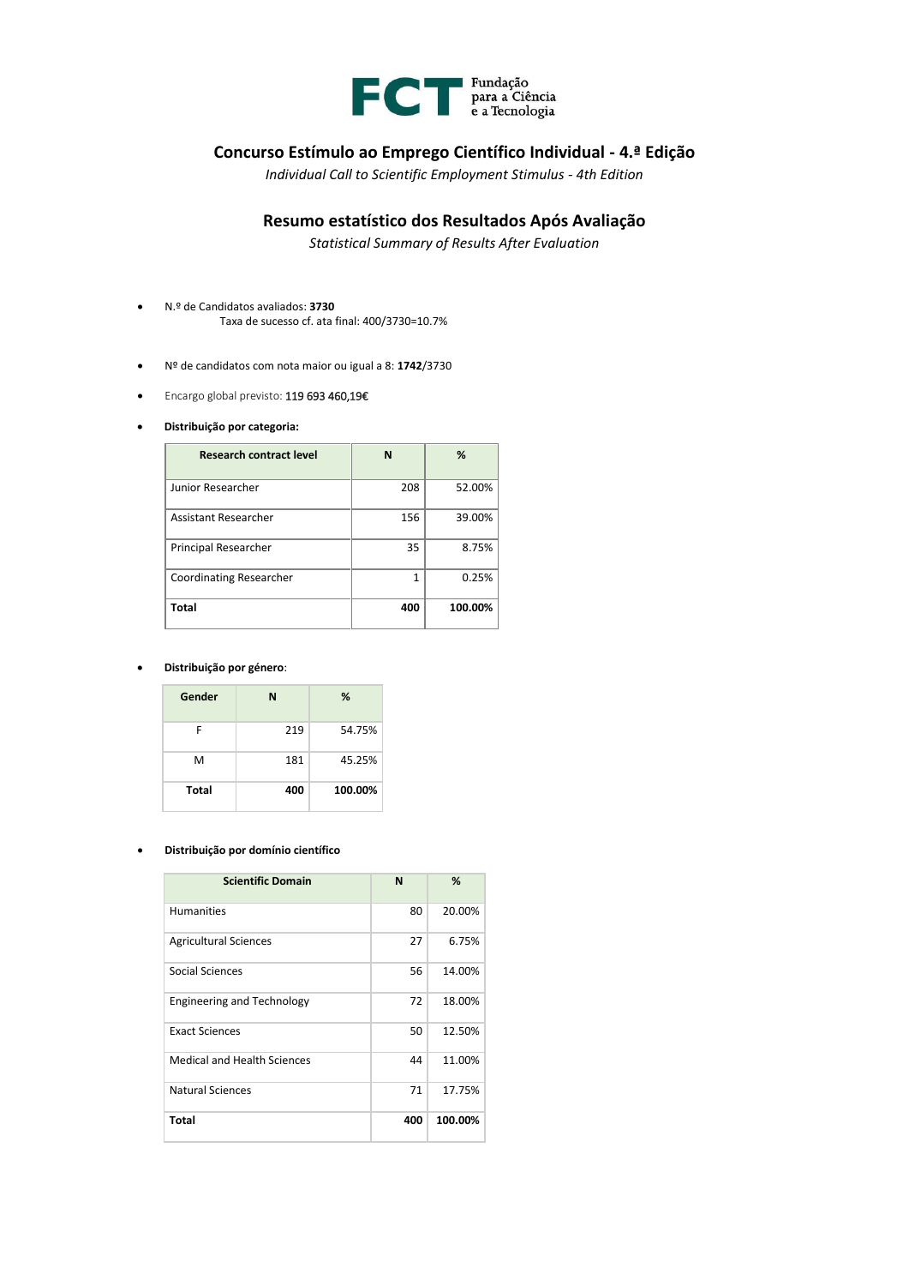

## **Concurso Estímulo ao Emprego Científico Individual - 4.ª Edição**

*Individual Call to Scientific Employment Stimulus - 4th Edition*

## **Resumo estatístico dos Resultados Após Avaliação**

*Statistical Summary of Results After Evaluation*

- N.º de Candidatos avaliados: **3730** Taxa de sucesso cf. ata final: 400/3730=10.7%
- Nº de candidatos com nota maior ou igual a 8: **1742**/3730
- Encargo global previsto: 119 693 460,19€
- **Distribuição por categoria:**

| <b>Research contract level</b> | N            | %       |
|--------------------------------|--------------|---------|
| Junior Researcher              | 208          | 52.00%  |
| Assistant Researcher           | 156          | 39.00%  |
| Principal Researcher           | 35           | 8.75%   |
| <b>Coordinating Researcher</b> | $\mathbf{1}$ | 0.25%   |
| Total                          | 400          | 100.00% |

## • **Distribuição por género**:

| Gender       | N   | %       |
|--------------|-----|---------|
| F            | 219 | 54.75%  |
| М            | 181 | 45.25%  |
| <b>Total</b> | 400 | 100.00% |

## • **Distribuição por domínio científico**

| <b>Scientific Domain</b>           | N   | %       |
|------------------------------------|-----|---------|
| <b>Humanities</b>                  | 80  | 20.00%  |
| <b>Agricultural Sciences</b>       | 27  | 6.75%   |
| Social Sciences                    | 56  | 14.00%  |
| <b>Engineering and Technology</b>  | 72  | 18.00%  |
| <b>Exact Sciences</b>              | 50  | 12.50%  |
| <b>Medical and Health Sciences</b> | 44  | 11.00%  |
| Natural Sciences                   | 71  | 17.75%  |
| <b>Total</b>                       | 400 | 100.00% |